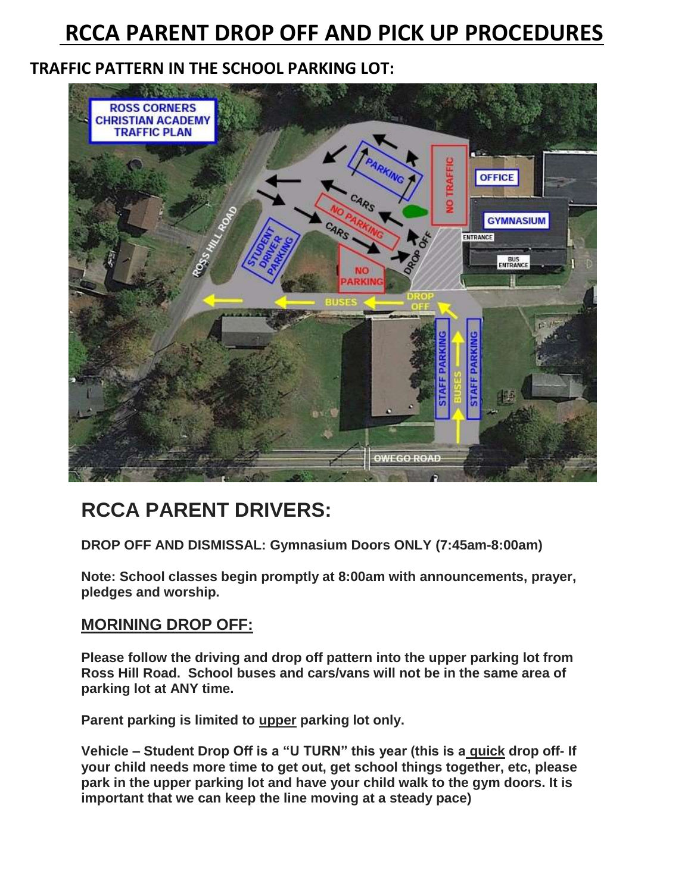# **RCCA PARENT DROP OFF AND PICK UP PROCEDURES**

## **TRAFFIC PATTERN IN THE SCHOOL PARKING LOT:**



## **RCCA PARENT DRIVERS:**

**DROP OFF AND DISMISSAL: Gymnasium Doors ONLY (7:45am-8:00am)**

**Note: School classes begin promptly at 8:00am with announcements, prayer, pledges and worship.**

## **MORINING DROP OFF:**

**Please follow the driving and drop off pattern into the upper parking lot from Ross Hill Road. School buses and cars/vans will not be in the same area of parking lot at ANY time.** 

**Parent parking is limited to upper parking lot only.** 

**Vehicle – Student Drop Off is a "U TURN" this year (this is a quick drop off- If your child needs more time to get out, get school things together, etc, please park in the upper parking lot and have your child walk to the gym doors. It is important that we can keep the line moving at a steady pace)**